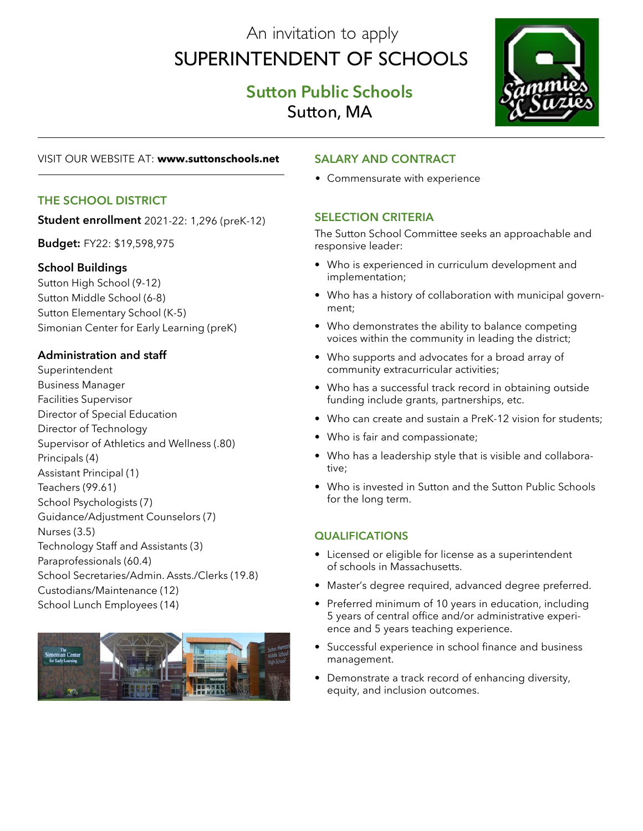# An invitation to apply Superintendent of Schools

## **Sutton Public Schools** Sutton, MA



#### VISIT OUR WEBSITE AT: **www.suttonschools.net**

#### **The School District**

**Student enrollment** 2021-22: 1,296 (preK-12)

**Budget:** FY22: \$19,598,975

#### **School Buildings**

Sutton High School (9-12) Sutton Middle School (6-8) Sutton Elementary School (K-5) Simonian Center for Early Learning (preK)

## **Administration and staff**

Superintendent Business Manager Facilities Supervisor Director of Special Education Director of Technology Supervisor of Athletics and Wellness (.80) Principals (4) Assistant Principal (1) Teachers (99.61) School Psychologists (7) Guidance/Adjustment Counselors (7) Nurses (3.5) Technology Staff and Assistants (3) Paraprofessionals (60.4) School Secretaries/Admin. Assts./Clerks (19.8) Custodians/Maintenance (12) School Lunch Employees (14)



## **Salary and Contract**

• Commensurate with experience

## **SELECTION CRITERIA**

The Sutton School Committee seeks an approachable and responsive leader:

- Who is experienced in curriculum development and implementation;
- Who has a history of collaboration with municipal government;
- Who demonstrates the ability to balance competing voices within the community in leading the district;
- Who supports and advocates for a broad array of community extracurricular activities;
- Who has a successful track record in obtaining outside funding include grants, partnerships, etc.
- Who can create and sustain a PreK-12 vision for students;
- Who is fair and compassionate;
- Who has a leadership style that is visible and collaborative;
- Who is invested in Sutton and the Sutton Public Schools for the long term.

## **qualifications**

- Licensed or eligible for license as a superintendent of schools in Massachusetts.
- Master's degree required, advanced degree preferred.
- Preferred minimum of 10 years in education, including 5 years of central office and/or administrative experience and 5 years teaching experience.
- Successful experience in school finance and business management.
- Demonstrate a track record of enhancing diversity, equity, and inclusion outcomes.